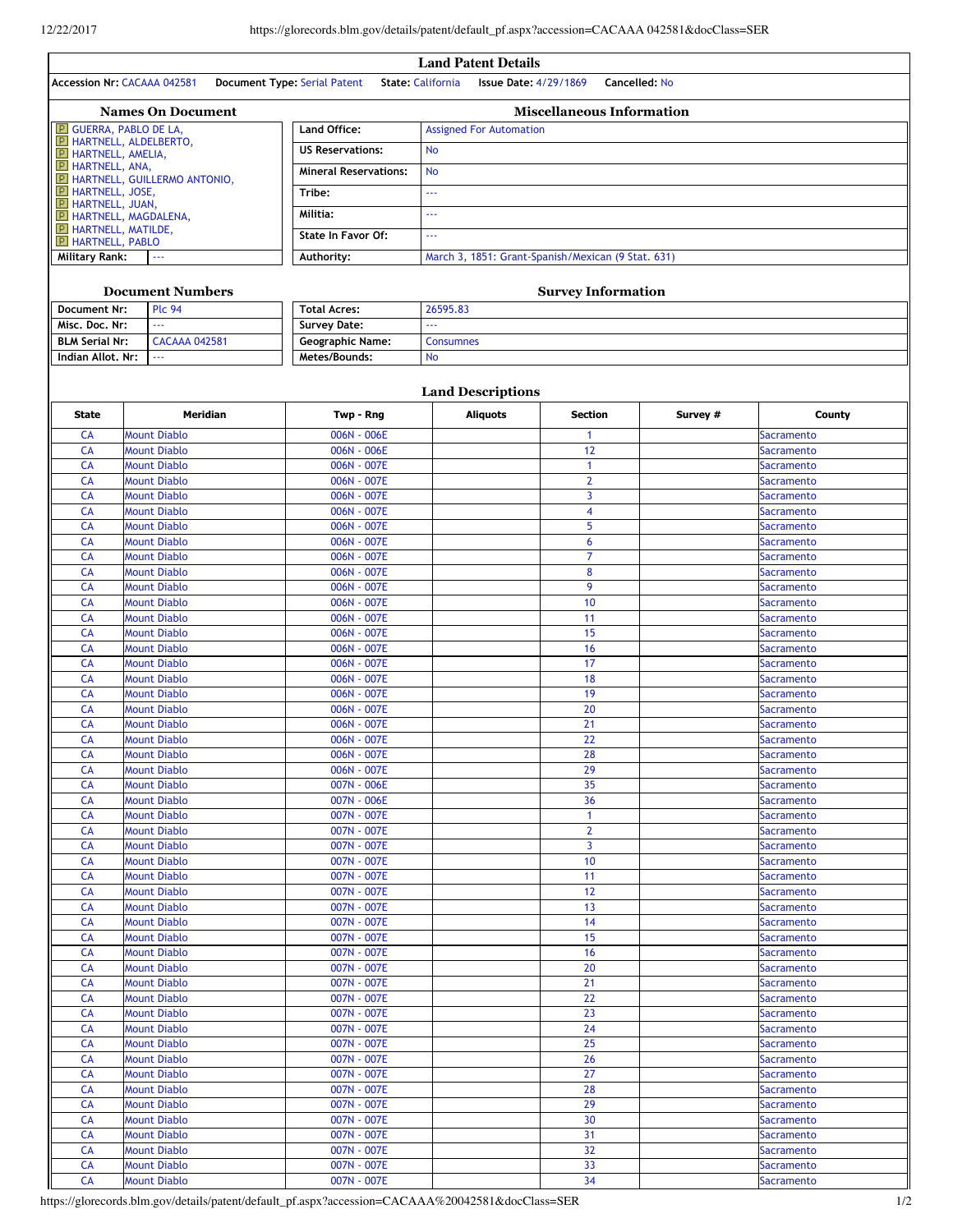$\overline{1}$ 

| <b>Land Patent Details</b>                                                                                                                                                                                                                                                                                                                                                                                     |                                     |                                                                           |  |  |  |  |  |
|----------------------------------------------------------------------------------------------------------------------------------------------------------------------------------------------------------------------------------------------------------------------------------------------------------------------------------------------------------------------------------------------------------------|-------------------------------------|---------------------------------------------------------------------------|--|--|--|--|--|
| <b>Accession Nr: CACAAA 042581</b>                                                                                                                                                                                                                                                                                                                                                                             | <b>Document Type: Serial Patent</b> | <b>State: California</b><br><b>Issue Date: 4/29/1869</b><br>Cancelled: No |  |  |  |  |  |
| <b>Names On Document</b>                                                                                                                                                                                                                                                                                                                                                                                       | <b>Miscellaneous Information</b>    |                                                                           |  |  |  |  |  |
| <b>E</b> GUERRA, PABLO DE LA,                                                                                                                                                                                                                                                                                                                                                                                  | <b>Land Office:</b>                 | <b>Assigned For Automation</b>                                            |  |  |  |  |  |
| <b>P</b> HARTNELL, ALDELBERTO,<br><b>P</b> HARTNELL, AMELIA,                                                                                                                                                                                                                                                                                                                                                   | <b>US Reservations:</b>             | <b>No</b>                                                                 |  |  |  |  |  |
| <b>P</b> HARTNELL, ANA,<br><b>P HARTNELL, GUILLERMO ANTONIO,</b>                                                                                                                                                                                                                                                                                                                                               | <b>Mineral Reservations:</b>        | <b>No</b>                                                                 |  |  |  |  |  |
| <b>P</b> HARTNELL, JOSE,<br><b>P</b> HARTNELL, JUAN,                                                                                                                                                                                                                                                                                                                                                           | Tribe:                              | $- - -$                                                                   |  |  |  |  |  |
| <b>P</b> HARTNELL, MAGDALENA,                                                                                                                                                                                                                                                                                                                                                                                  | Militia:                            | ---                                                                       |  |  |  |  |  |
| <b>E</b> HARTNELL, MATILDE,<br><b>E</b> HARTNELL, PABLO                                                                                                                                                                                                                                                                                                                                                        | State In Favor Of:                  | $- - -$                                                                   |  |  |  |  |  |
| Military Rank:<br>$\frac{1}{2} \frac{1}{2} \frac{1}{2} \frac{1}{2} \frac{1}{2} \frac{1}{2} \frac{1}{2} \frac{1}{2} \frac{1}{2} \frac{1}{2} \frac{1}{2} \frac{1}{2} \frac{1}{2} \frac{1}{2} \frac{1}{2} \frac{1}{2} \frac{1}{2} \frac{1}{2} \frac{1}{2} \frac{1}{2} \frac{1}{2} \frac{1}{2} \frac{1}{2} \frac{1}{2} \frac{1}{2} \frac{1}{2} \frac{1}{2} \frac{1}{2} \frac{1}{2} \frac{1}{2} \frac{1}{2} \frac{$ | Authority:                          | March 3, 1851: Grant-Spanish/Mexican (9 Stat. 631)                        |  |  |  |  |  |
|                                                                                                                                                                                                                                                                                                                                                                                                                |                                     |                                                                           |  |  |  |  |  |
| <b>Document Numbers</b>                                                                                                                                                                                                                                                                                                                                                                                        |                                     | <b>Survey Information</b>                                                 |  |  |  |  |  |
| <b>Plc 94</b><br>Document Nr:                                                                                                                                                                                                                                                                                                                                                                                  | <b>Total Acres:</b>                 | 26595.83                                                                  |  |  |  |  |  |
| $\mathbf{a}$                                                                                                                                                                                                                                                                                                                                                                                                   | $\sim$ $\sim$ $\sim$                |                                                                           |  |  |  |  |  |

| Misc. Doc. Nr:        | $- - -$       | <b>Survey Date:</b>     | $- - -$          |
|-----------------------|---------------|-------------------------|------------------|
| <b>BLM Serial Nr:</b> | CACAAA 042581 | <b>Geographic Name:</b> | Consumnes        |
| Indian Allot. Nr:     | .             | Metes/Bounds:           | <b>No</b>        |
|                       |               |                         |                  |
|                       |               |                         | and Deceriptions |

| <b>Land Descriptions</b> |                     |             |                 |                |          |                   |  |
|--------------------------|---------------------|-------------|-----------------|----------------|----------|-------------------|--|
| <b>State</b>             | <b>Meridian</b>     | Twp - Rng   | <b>Aliquots</b> | <b>Section</b> | Survey # | County            |  |
| CA                       | <b>Mount Diablo</b> | 006N - 006E |                 | 1              |          | <b>Sacramento</b> |  |
| CA                       | <b>Mount Diablo</b> | 006N - 006E |                 | 12             |          | Sacramento        |  |
| <b>CA</b>                | <b>Mount Diablo</b> | 006N - 007E |                 | $\mathbf{1}$   |          | Sacramento        |  |
| <b>CA</b>                | <b>Mount Diablo</b> | 006N - 007E |                 | $\overline{2}$ |          | <b>Sacramento</b> |  |
| CA                       | <b>Mount Diablo</b> | 006N - 007E |                 | 3              |          | Sacramento        |  |
| CA                       | <b>Mount Diablo</b> | 006N - 007E |                 | 4              |          | Sacramento        |  |
| CA                       | <b>Mount Diablo</b> | 006N - 007E |                 | 5              |          | Sacramento        |  |
| <b>CA</b>                | <b>Mount Diablo</b> | 006N - 007E |                 | 6              |          | Sacramento        |  |
| CA                       | <b>Mount Diablo</b> | 006N - 007E |                 | $\overline{7}$ |          | Sacramento        |  |
| <b>CA</b>                | <b>Mount Diablo</b> | 006N - 007E |                 | 8              |          | <b>Sacramento</b> |  |
| <b>CA</b>                | <b>Mount Diablo</b> | 006N - 007E |                 | 9              |          | Sacramento        |  |
| CA                       | <b>Mount Diablo</b> | 006N - 007E |                 | 10             |          | Sacramento        |  |
| CA                       | <b>Mount Diablo</b> | 006N - 007E |                 | 11             |          | Sacramento        |  |
| <b>CA</b>                | <b>Mount Diablo</b> | 006N - 007E |                 | 15             |          | Sacramento        |  |
| CA                       | <b>Mount Diablo</b> | 006N - 007E |                 | 16             |          | <b>Sacramento</b> |  |
| CA                       | <b>Mount Diablo</b> | 006N - 007E |                 | 17             |          | Sacramento        |  |
| CA                       | <b>Mount Diablo</b> | 006N - 007E |                 | 18             |          | <b>Sacramento</b> |  |
| CA                       | <b>Mount Diablo</b> | 006N - 007E |                 | 19             |          | <b>Sacramento</b> |  |
| CA                       | <b>Mount Diablo</b> | 006N - 007E |                 | 20             |          | Sacramento        |  |
| <b>CA</b>                | <b>Mount Diablo</b> | 006N - 007E |                 | 21             |          | Sacramento        |  |
| CA                       | <b>Mount Diablo</b> | 006N - 007E |                 | 22             |          | <b>Sacramento</b> |  |
| CA                       | <b>Mount Diablo</b> | 006N - 007E |                 | 28             |          | Sacramento        |  |
| CA                       | <b>Mount Diablo</b> | 006N - 007E |                 | 29             |          | Sacramento        |  |
| CA                       | <b>Mount Diablo</b> | 007N - 006E |                 | 35             |          | Sacramento        |  |
| CA                       | <b>Mount Diablo</b> | 007N - 006E |                 | 36             |          | <b>Sacramento</b> |  |
| CA                       | <b>Mount Diablo</b> | 007N - 007E |                 | $\mathbf{1}$   |          | <b>Sacramento</b> |  |
| CA                       | <b>Mount Diablo</b> | 007N - 007E |                 | $\overline{2}$ |          | Sacramento        |  |
| СA                       | <b>Mount Diablo</b> | 007N - 007E |                 | 3              |          | Sacramento        |  |
| CA                       | <b>Mount Diablo</b> | 007N - 007E |                 | 10             |          | Sacramento        |  |
| CA                       | <b>Mount Diablo</b> | 007N - 007E |                 | 11             |          | <b>Sacramento</b> |  |
| <b>CA</b>                | <b>Mount Diablo</b> | 007N - 007E |                 | 12             |          | <b>Sacramento</b> |  |
| CA                       | <b>Mount Diablo</b> | 007N - 007E |                 | 13             |          | <b>Sacramento</b> |  |
| CA                       | <b>Mount Diablo</b> | 007N - 007E |                 | 14             |          | <b>Sacramento</b> |  |
| CA                       | <b>Mount Diablo</b> | 007N - 007E |                 | 15             |          | Sacramento        |  |
| CA                       | <b>Mount Diablo</b> | 007N - 007E |                 | 16             |          | <b>Sacramento</b> |  |
| CA                       | <b>Mount Diablo</b> | 007N - 007E |                 | 20             |          | <b>Sacramento</b> |  |
| CA                       | <b>Mount Diablo</b> | 007N - 007E |                 | 21             |          | Sacramento        |  |
| CA                       | <b>Mount Diablo</b> | 007N - 007E |                 | 22             |          | <b>Sacramento</b> |  |
| CA                       | <b>Mount Diablo</b> | 007N - 007E |                 | 23             |          | <b>Sacramento</b> |  |
| CA                       | <b>Mount Diablo</b> | 007N - 007E |                 | 24             |          | Sacramento        |  |
| CA                       | <b>Mount Diablo</b> | 007N - 007E |                 | 25             |          | <b>Sacramento</b> |  |
| CA                       | <b>Mount Diablo</b> | 007N - 007E |                 | 26             |          | <b>Sacramento</b> |  |
| CA                       | <b>Mount Diablo</b> | 007N - 007E |                 | 27             |          | <b>Sacramento</b> |  |
| <b>CA</b>                | <b>Mount Diablo</b> | 007N - 007E |                 | 28             |          | Sacramento        |  |
| CА                       | <b>Mount Diablo</b> | 007N - 007E |                 | 29             |          | <b>Sacramento</b> |  |
| CA                       | <b>Mount Diablo</b> | 007N - 007E |                 | 30             |          | Sacramento        |  |
| CA                       | <b>Mount Diablo</b> | 007N - 007E |                 | 31             |          | <b>Sacramento</b> |  |
| CA                       | <b>Mount Diablo</b> | 007N - 007E |                 | 32             |          | <b>Sacramento</b> |  |
| CA                       | <b>Mount Diablo</b> | 007N - 007E |                 | 33             |          | <b>Sacramento</b> |  |
| CA                       | <b>Mount Diablo</b> | 007N - 007E |                 | 34             |          | <b>Sacramento</b> |  |